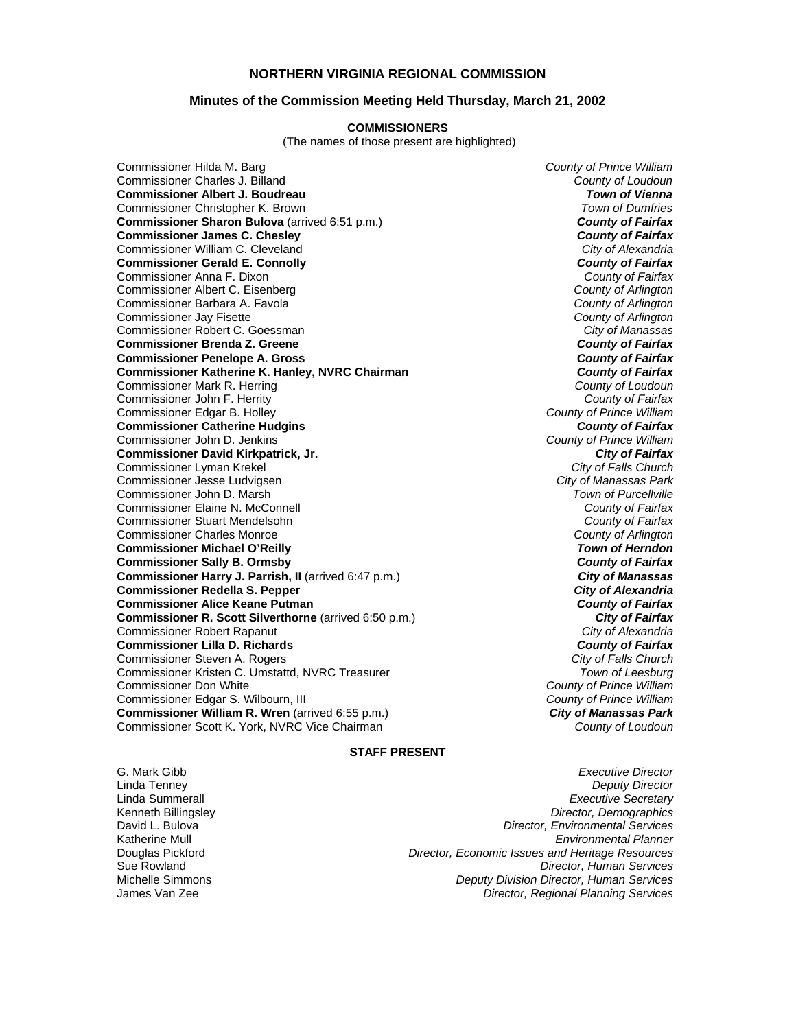# **NORTHERN VIRGINIA REGIONAL COMMISSION**

### **Minutes of the Commission Meeting Held Thursday, March 21, 2002**

#### **COMMISSIONERS**

(The names of those present are highlighted)

Commissioner Hilda M. Barg *County of Prince William* Commissioner Charles J. Billand *County of Loudoun* **Commissioner Albert J. Boudreau** *Town of Vienna* Commissioner Christopher K. Brown *Town of Dumfries*  **Commissioner Sharon Bulova** (arrived 6:51 p.m.) **County of Fairfax**<br>**Commissioner James C. Chesley County of Fairfax Commissioner James C. Chesley** *County of Fairfax* Commissioner William C. Cleveland *City of Alexandria* **Commissioner Gerald E. Connolly** *County of Fairfax* Commissioner Anna F. Dixon *County of Fairfax* Commissioner Albert C. Eisenberg *County of Arlington* Commissioner Barbara A. Favola<sup>7</sup> Commissioner Jay Fisette *County of Arlington* Commissioner Robert C. Goessman *City of Manassas* **Commissioner Brenda Z. Greene** *County of Fairfax* **Commissioner Penelope A. Gross** *County of Fairfax* **Commissioner Katherine K. Hanley, NVRC Chairman** *County of Fairfax**County of Fairfax**County of Loudoun**County of Loudoun* Commissioner Mark R. Herring *County of Loudoun* Commissioner John F. Herrity Commissioner Edgar B. Holley *County of Prince William* **Commissioner Catherine Hudgins** *County of Fairfax* Commissioner John D. Jenkins *County of Prince William* **Commissioner David Kirkpatrick, Jr.** *City of Fairfax* Commissioner Lyman Krekel *City of Falls Church* Commissioner Jesse Ludvigsen *City of Manassas Park* Commissioner John D. Marsh *Town of Purcellville* Commissioner Elaine N. McConnell *County of Fairfax* Commissioner Stuart Mendelsohn *County of Fairfax* Commissioner Charles Monroe *County of Arlington* **Commissioner Michael O'Reilly** *Town of Herndon* **Commissioner Sally B. Ormsby** *County of Fairfax* **Commissioner Harry J. Parrish, II** (arrived 6:47 p.m.) **Canal Commissioner Harry Strute 1: City of Manassas Commissioner Redella S. Pepper** *City of Alexandria* **Commissioner Alice Keane Putman** *County of Fairfax* **Commissioner R. Scott Silverthorne** (arrived 6:50 p.m.) **Commissioner R. Scott Silverthorne City of Fairfax** Commissioner Robert Rapanut *City of Alexandria* **Commissioner Lilla D. Richards** *County of Fairfax* Commissioner Steven A. Rogers *City of Falls Church* Commissioner Kristen C. Umstattd, NVRC Treasurer *Town of Leesburg* Commissioner Don White *County of Prince William* Commissioner Edgar S. Wilbourn, III **Commissioner William R. Wren** (arrived 6:55 p.m.) *City of Manassas Park* Commissioner Scott K. York, NVRC Vice Chairman *County of Loudoun*

## **STAFF PRESENT**

G. Mark Gibb *Executive Director*

Linda Tenney *Deputy Director* Linda Summerall *Executive Secretary* Kenneth Billingsley *Director, Demographics* David L. Bulova *Director, Environmental Services* Katherine Mull *Environmental Planner* Douglas Pickford *Director, Economic Issues and Heritage Resources* Sue Rowland *Director, Human Services* Michelle Simmons *Deputy Division Director, Human Services* Director, Regional Planning Services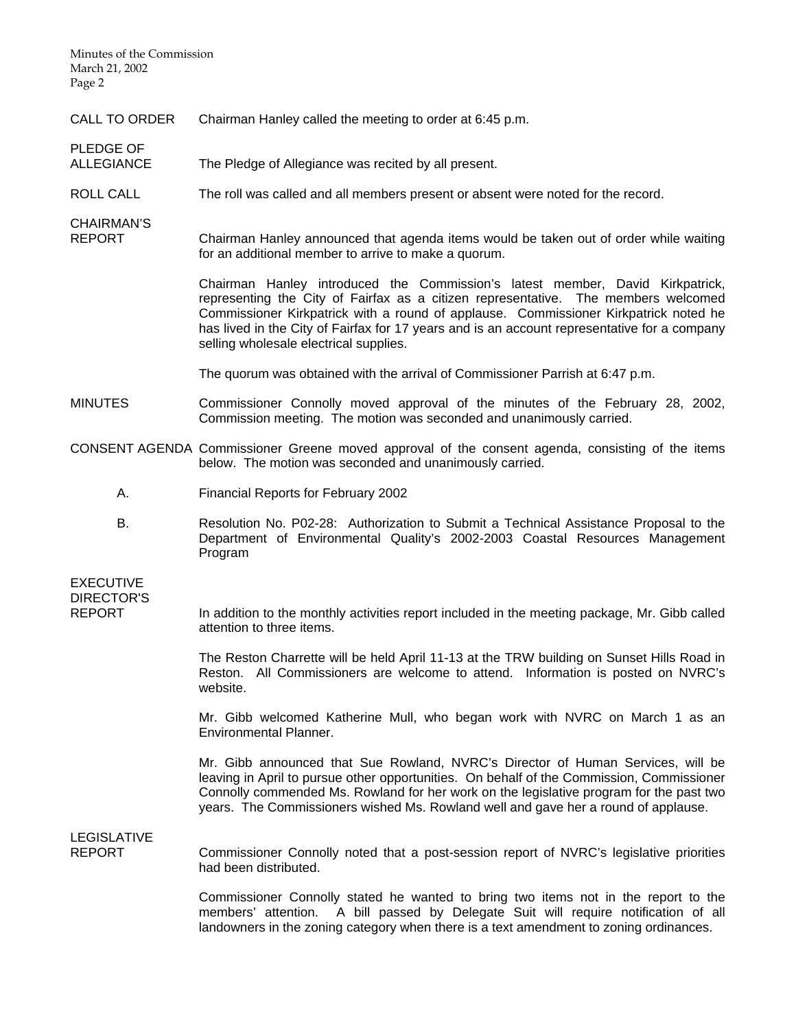Minutes of the Commission March 21, 2002 Page 2

- CALL TO ORDER Chairman Hanley called the meeting to order at 6:45 p.m.
- PLEDGE OF<br>ALLEGIANCE The Pledge of Allegiance was recited by all present.
- ROLL CALL The roll was called and all members present or absent were noted for the record.

CHAIRMAN'S

Chairman Hanley announced that agenda items would be taken out of order while waiting for an additional member to arrive to make a quorum.

> Chairman Hanley introduced the Commission's latest member, David Kirkpatrick, representing the City of Fairfax as a citizen representative. The members welcomed Commissioner Kirkpatrick with a round of applause. Commissioner Kirkpatrick noted he has lived in the City of Fairfax for 17 years and is an account representative for a company selling wholesale electrical supplies.

The quorum was obtained with the arrival of Commissioner Parrish at 6:47 p.m.

- MINUTES Commissioner Connolly moved approval of the minutes of the February 28, 2002, Commission meeting. The motion was seconded and unanimously carried.
- CONSENT AGENDA Commissioner Greene moved approval of the consent agenda, consisting of the items below. The motion was seconded and unanimously carried.
	- A. Financial Reports for February 2002
	- B. Resolution No. P02-28: Authorization to Submit a Technical Assistance Proposal to the Department of Environmental Quality's 2002-2003 Coastal Resources Management Program

EXECUTIVE DIRECTOR'S

REPORT In addition to the monthly activities report included in the meeting package, Mr. Gibb called attention to three items.

> The Reston Charrette will be held April 11-13 at the TRW building on Sunset Hills Road in Reston. All Commissioners are welcome to attend. Information is posted on NVRC's website.

> Mr. Gibb welcomed Katherine Mull, who began work with NVRC on March 1 as an Environmental Planner.

> Mr. Gibb announced that Sue Rowland, NVRC's Director of Human Services, will be leaving in April to pursue other opportunities. On behalf of the Commission, Commissioner Connolly commended Ms. Rowland for her work on the legislative program for the past two years. The Commissioners wished Ms. Rowland well and gave her a round of applause.

LEGISLATIVE<br>REPORT

Commissioner Connolly noted that a post-session report of NVRC's legislative priorities had been distributed.

 Commissioner Connolly stated he wanted to bring two items not in the report to the members' attention. A bill passed by Delegate Suit will require notification of all landowners in the zoning category when there is a text amendment to zoning ordinances.